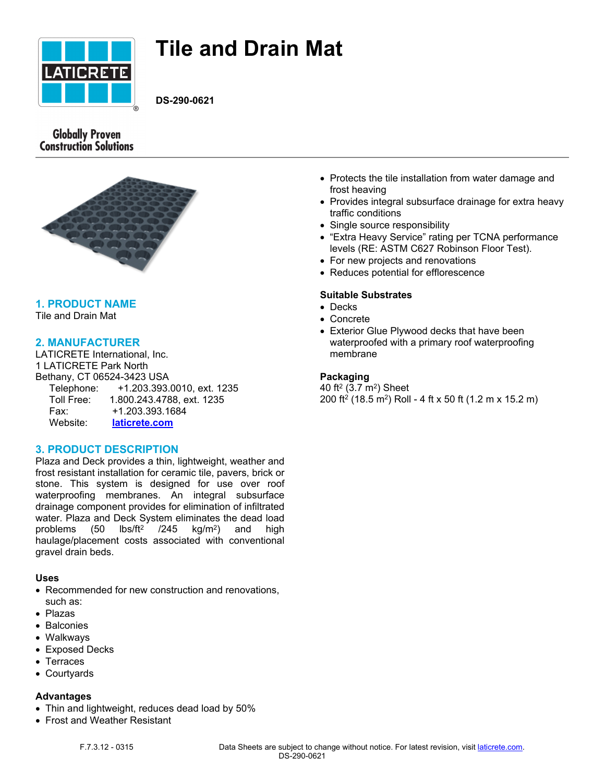

# **Tile and Drain Mat**

**DS-290-0621**

# **Globally Proven Construction Solutions**



# **1. PRODUCT NAME**

Tile and Drain Mat

# **2. MANUFACTURER**

LATICRETE International, Inc. 1 LATICRETE Park North Bethany, CT 06524-3423 USA Telephone: +1.203.393.0010, ext. 1235 Toll Free: 1.800.243.4788, ext. 1235 Fax: +1.203.393.1684 Website: **[laticrete.com](https://laticrete.com/)**

# **3. PRODUCT DESCRIPTION**

Plaza and Deck provides a thin, lightweight, weather and frost resistant installation for ceramic tile, pavers, brick or stone. This system is designed for use over roof waterproofing membranes. An integral subsurface drainage component provides for elimination of infiltrated water. Plaza and Deck System eliminates the dead load problems  $(50$  $\text{lbs/ft}^2$  /245  $\text{ka/m}^2$ ) and high haulage/placement costs associated with conventional gravel drain beds.

# **Uses**

- Recommended for new construction and renovations, such as:
- Plazas
- Balconies
- Walkways
- Exposed Decks
- Terraces
- Courtyards

## **Advantages**

- Thin and lightweight, reduces dead load by 50%
- Frost and Weather Resistant
- Protects the tile installation from water damage and frost heaving
- Provides integral subsurface drainage for extra heavy traffic conditions
- Single source responsibility
- "Extra Heavy Service" rating per TCNA performance levels (RE: ASTM C627 Robinson Floor Test).
- For new projects and renovations
- Reduces potential for efflorescence

## **Suitable Substrates**

- Decks
- Concrete
- Exterior Glue Plywood decks that have been waterproofed with a primary roof waterproofing membrane

## **Packaging**

40 ft² (3.7 m²) Sheet 200 ft<sup>2</sup> (18.5 m<sup>2</sup> ) Roll - 4 ft x 50 ft (1.2 m x 15.2 m)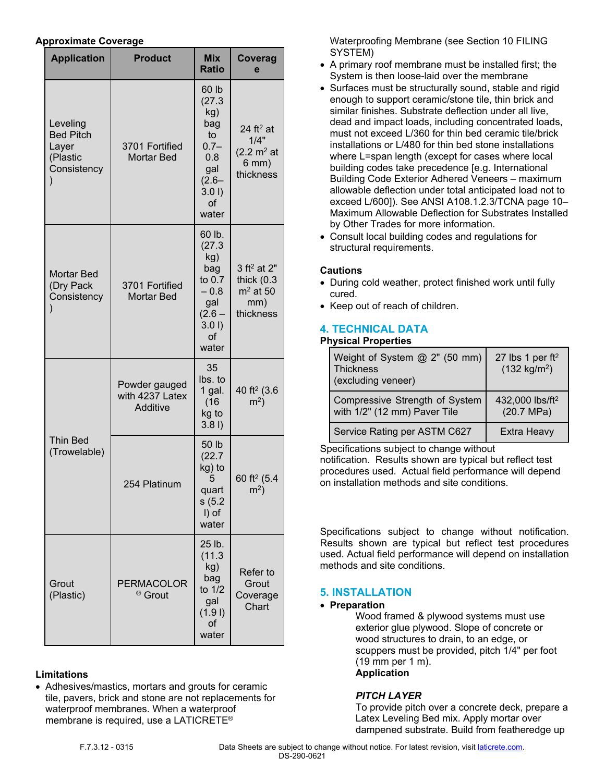## **Approximate Coverage**

| <b>Application</b>                                               | <b>Product</b>                               | <b>Mix</b><br><b>Ratio</b>                                                                      | Coverag<br>e                                                                               |
|------------------------------------------------------------------|----------------------------------------------|-------------------------------------------------------------------------------------------------|--------------------------------------------------------------------------------------------|
| Leveling<br><b>Bed Pitch</b><br>Layer<br>(Plastic<br>Consistency | 3701 Fortified<br><b>Mortar Bed</b>          | 60 lb<br>(27.3)<br>kg)<br>bag<br>to<br>$0.7 -$<br>0.8<br>gal<br>$(2.6 -$<br>3.01<br>of<br>water | 24 ft <sup>2</sup> at<br>1/4"<br>$(2.2 \text{ m}^2 \text{ at }$<br>$6$ mm $)$<br>thickness |
| <b>Mortar Bed</b><br>(Dry Pack<br>Consistency                    | 3701 Fortified<br><b>Mortar Bed</b>          | 60 lb.<br>(27.3)<br>kg)<br>bag<br>to 0.7<br>$-0.8$<br>gal<br>$(2.6 -$<br>3.01<br>οf<br>water    | 3 ft <sup>2</sup> at 2"<br>thick $(0.3)$<br>$m2$ at 50<br>mm)<br>thickness                 |
| <b>Thin Bed</b><br>(Trowelable)                                  | Powder gauged<br>with 4237 Latex<br>Additive | 35<br>lbs. to<br>1 gal.<br>(16)<br>kg to<br>3.81                                                | 40 ft <sup>2</sup> (3.6<br>$m2$ )                                                          |
|                                                                  | 254 Platinum                                 | 50 lb<br>(22.7)<br>kg) to<br>5<br>quart<br>s(5.2)<br>I) of<br>water                             | 60 ft <sup>2</sup> (5.4<br>m <sup>2</sup>                                                  |
| Grout<br>(Plastic)                                               | <b>PERMACOLOR</b><br><sup>®</sup> Grout      | 25 lb.<br>(11.3)<br>kg)<br>bag<br>to $1/2$<br>gal<br>(1.91)<br>of<br>water                      | Refer to<br>Grout<br>Coverage<br>Chart                                                     |

# **Limitations**

 Adhesives/mastics, mortars and grouts for ceramic tile, pavers, brick and stone are not replacements for waterproof membranes. When a waterproof membrane is required, use a LATICRETE®

Waterproofing Membrane (see Section 10 FILING SYSTEM)

- A primary roof membrane must be installed first; the System is then loose-laid over the membrane
- Surfaces must be structurally sound, stable and rigid enough to support ceramic/stone tile, thin brick and similar finishes. Substrate deflection under all live, dead and impact loads, including concentrated loads, must not exceed L/360 for thin bed ceramic tile/brick installations or L/480 for thin bed stone installations where L=span length (except for cases where local building codes take precedence [e.g. International Building Code Exterior Adhered Veneers – maximum allowable deflection under total anticipated load not to exceed L/600]). See ANSI A108.1.2.3/TCNA page 10– Maximum Allowable Deflection for Substrates Installed by Other Trades for more information.
- Consult local building codes and regulations for structural requirements.

## **Cautions**

- During cold weather, protect finished work until fully cured.
- Keep out of reach of children.

# **4. TECHNICAL DATA**

## **Physical Properties**

| Weight of System @ 2" (50 mm)<br><b>Thickness</b><br>(excluding veneer) | 27 lbs 1 per $ft^2$<br>$(132 \text{ kg/m}^2)$ |
|-------------------------------------------------------------------------|-----------------------------------------------|
| Compressive Strength of System<br>with 1/2" (12 mm) Paver Tile          | 432,000 lbs/ft <sup>2</sup><br>(20.7 MPa)     |
| Service Rating per ASTM C627                                            | <b>Extra Heavy</b>                            |

Specifications subject to change without

notification. Results shown are typical but reflect test procedures used. Actual field performance will depend on installation methods and site conditions.

Specifications subject to change without notification. Results shown are typical but reflect test procedures used. Actual field performance will depend on installation methods and site conditions.

# **5. INSTALLATION**

## **Preparation**

Wood framed & plywood systems must use exterior glue plywood. Slope of concrete or wood structures to drain, to an edge, or scuppers must be provided, pitch 1/4" per foot (19 mm per 1 m). **Application**

# *PITCH LAYER*

To provide pitch over a concrete deck, prepare a Latex Leveling Bed mix. Apply mortar over dampened substrate. Build from featheredge up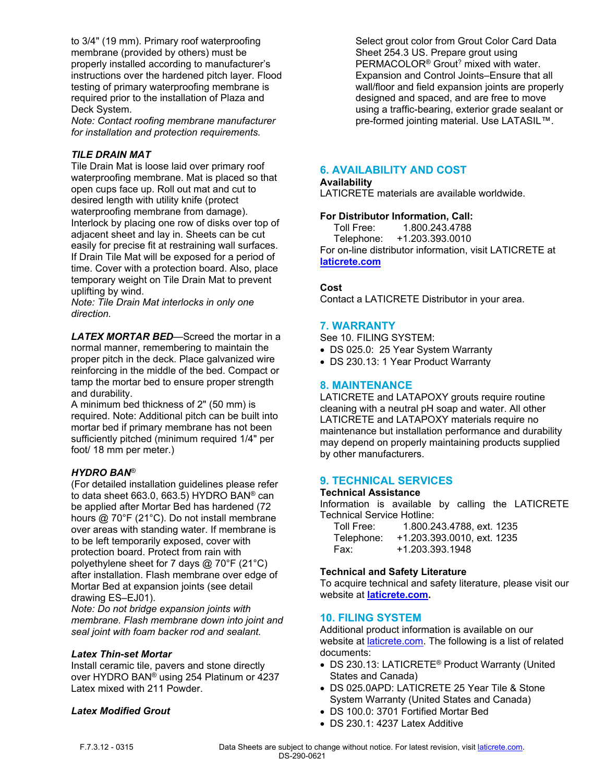to 3/4" (19 mm). Primary roof waterproofing membrane (provided by others) must be properly installed according to manufacturer's instructions over the hardened pitch layer. Flood testing of primary waterproofing membrane is required prior to the installation of Plaza and Deck System.

*Note: Contact roofing membrane manufacturer for installation and protection requirements.*

## *TILE DRAIN MAT*

Tile Drain Mat is loose laid over primary roof waterproofing membrane. Mat is placed so that open cups face up. Roll out mat and cut to desired length with utility knife (protect waterproofing membrane from damage). Interlock by placing one row of disks over top of adjacent sheet and lay in. Sheets can be cut easily for precise fit at restraining wall surfaces. If Drain Tile Mat will be exposed for a period of time. Cover with a protection board. Also, place temporary weight on Tile Drain Mat to prevent uplifting by wind.

*Note: Tile Drain Mat interlocks in only one direction.*

*LATEX MORTAR BED*—Screed the mortar in a normal manner, remembering to maintain the proper pitch in the deck. Place galvanized wire reinforcing in the middle of the bed. Compact or tamp the mortar bed to ensure proper strength and durability.

A minimum bed thickness of 2" (50 mm) is required. Note: Additional pitch can be built into mortar bed if primary membrane has not been sufficiently pitched (minimum required 1/4" per foot/ 18 mm per meter.)

## *HYDRO BAN*®

(For detailed installation guidelines please refer to data sheet 663.0, 663.5) HYDRO BAN® can be applied after Mortar Bed has hardened (72 hours @ 70°F (21°C). Do not install membrane over areas with standing water. If membrane is to be left temporarily exposed, cover with protection board. Protect from rain with polyethylene sheet for 7 days @ 70°F (21°C) after installation. Flash membrane over edge of Mortar Bed at expansion joints (see detail drawing ES–EJ01).

*Note: Do not bridge expansion joints with membrane. Flash membrane down into joint and seal joint with foam backer rod and sealant.*

#### *Latex Thin-set Mortar*

Install ceramic tile, pavers and stone directly over HYDRO BAN® using 254 Platinum or 4237 Latex mixed with 211 Powder.

## *Latex Modified Grout*

Select grout color from Grout Color Card Data Sheet 254.3 US. Prepare grout using PERMACOLOR<sup>®</sup> Grout<sup>?</sup> mixed with water. Expansion and Control Joints–Ensure that all wall/floor and field expansion joints are properly designed and spaced, and are free to move using a traffic-bearing, exterior grade sealant or pre-formed jointing material. Use LATASIL™.

## **6. AVAILABILITY AND COST**

#### **Availability**

LATICRETE materials are available worldwide.

#### **For Distributor Information, Call:**

 Toll Free: 1.800.243.4788 Telephone: +1.203.393.0010 For on-line distributor information, visit LATICRETE at **[laticrete.com](https://laticrete.com/)**

#### **Cost**

Contact a LATICRETE Distributor in your area.

## **7. WARRANTY**

See 10. FILING SYSTEM:

- DS 025.0: 25 Year System Warranty
- DS 230.13: 1 Year Product Warranty

## **8. MAINTENANCE**

LATICRETE and LATAPOXY grouts require routine cleaning with a neutral pH soap and water. All other LATICRETE and LATAPOXY materials require no maintenance but installation performance and durability may depend on properly maintaining products supplied by other manufacturers.

## **9. TECHNICAL SERVICES**

#### **Technical Assistance**

Information is available by calling the LATICRETE Technical Service Hotline:

| Toll Free: | 1.800.243.4788, ext. 1235  |
|------------|----------------------------|
| Telephone: | +1.203.393.0010, ext. 1235 |
| Fax:       | +1.203.393.1948            |

#### **Technical and Safety Literature**

To acquire technical and safety literature, please visit our website at **[laticrete.com](https://laticrete.com/).**

#### **10. FILING SYSTEM**

Additional product information is available on our website at *[laticrete.com](https://laticrete.com/).* The following is a list of related documents:

- DS 230.13: LATICRETE® Product Warranty (United States and Canada)
- DS 025.0APD: LATICRETE 25 Year Tile & Stone System Warranty (United States and Canada)
- DS 100.0: 3701 Fortified Mortar Bed
- DS 230.1: 4237 Latex Additive